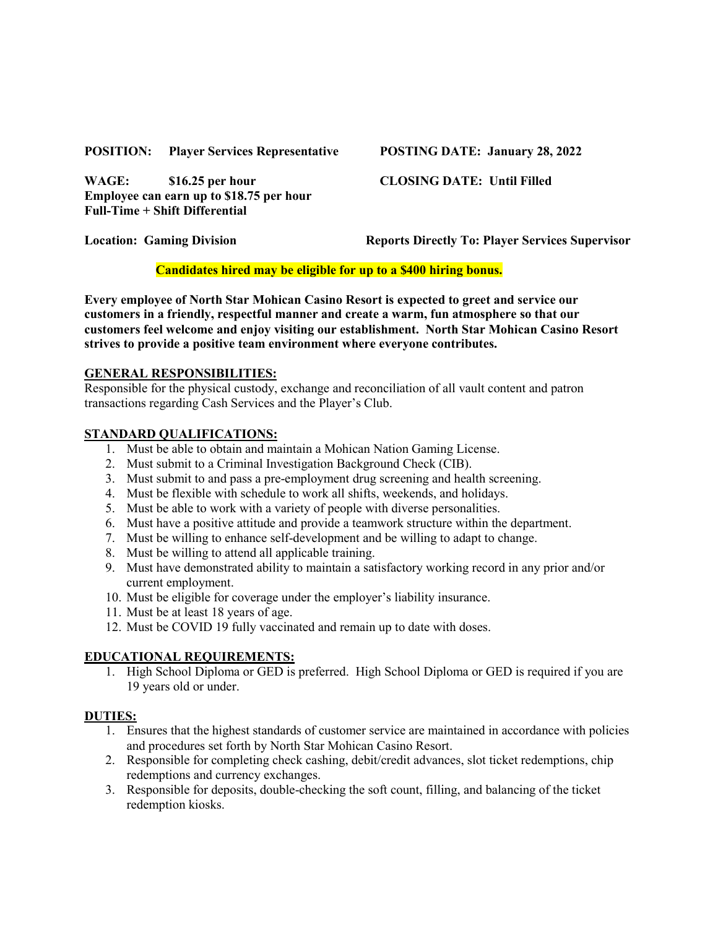#### **POSITION: Player Services Representative POSTING DATE: January 28, 2022**

**WAGE: \$16.25 per hour CLOSING DATE: Until Filled Employee can earn up to \$18.75 per hour Full-Time + Shift Differential**

**Location: Gaming Division Reports Directly To: Player Services Supervisor**

## **Candidates hired may be eligible for up to a \$400 hiring bonus.**

**Every employee of North Star Mohican Casino Resort is expected to greet and service our customers in a friendly, respectful manner and create a warm, fun atmosphere so that our customers feel welcome and enjoy visiting our establishment. North Star Mohican Casino Resort strives to provide a positive team environment where everyone contributes.**

### **GENERAL RESPONSIBILITIES:**

Responsible for the physical custody, exchange and reconciliation of all vault content and patron transactions regarding Cash Services and the Player's Club.

## **STANDARD QUALIFICATIONS:**

- 1. Must be able to obtain and maintain a Mohican Nation Gaming License.
- 2. Must submit to a Criminal Investigation Background Check (CIB).
- 3. Must submit to and pass a pre-employment drug screening and health screening.
- 4. Must be flexible with schedule to work all shifts, weekends, and holidays.
- 5. Must be able to work with a variety of people with diverse personalities.
- 6. Must have a positive attitude and provide a teamwork structure within the department.
- 7. Must be willing to enhance self-development and be willing to adapt to change.
- 8. Must be willing to attend all applicable training.
- 9. Must have demonstrated ability to maintain a satisfactory working record in any prior and/or current employment.
- 10. Must be eligible for coverage under the employer's liability insurance.
- 11. Must be at least 18 years of age.
- 12. Must be COVID 19 fully vaccinated and remain up to date with doses.

# **EDUCATIONAL REQUIREMENTS:**

1. High School Diploma or GED is preferred. High School Diploma or GED is required if you are 19 years old or under.

### **DUTIES:**

- 1. Ensures that the highest standards of customer service are maintained in accordance with policies and procedures set forth by North Star Mohican Casino Resort.
- 2. Responsible for completing check cashing, debit/credit advances, slot ticket redemptions, chip redemptions and currency exchanges.
- 3. Responsible for deposits, double-checking the soft count, filling, and balancing of the ticket redemption kiosks.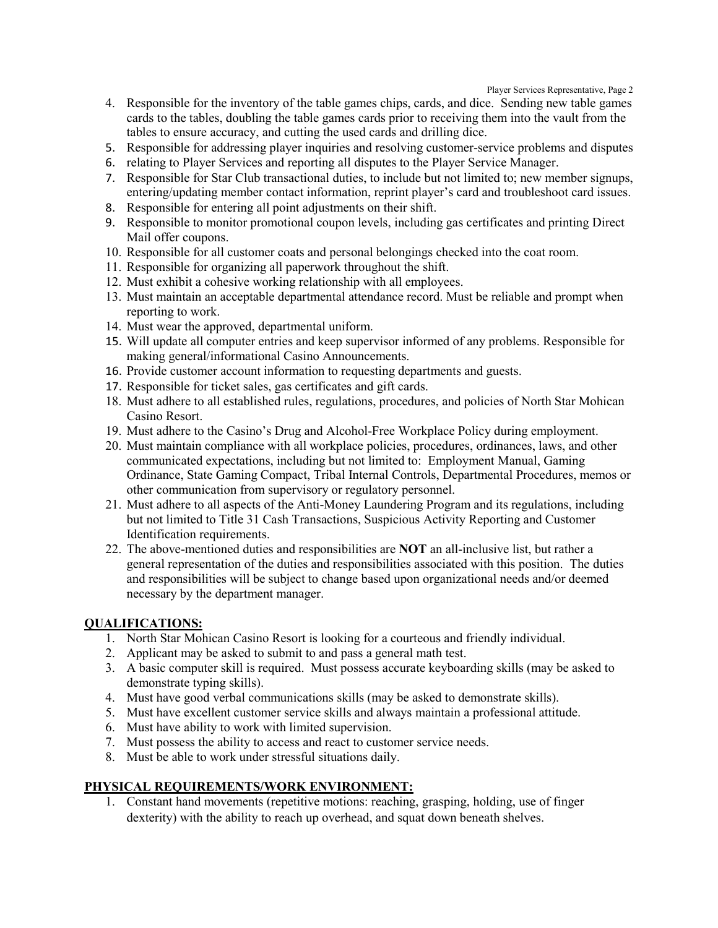Player Services Representative, Page 2

- 4. Responsible for the inventory of the table games chips, cards, and dice. Sending new table games cards to the tables, doubling the table games cards prior to receiving them into the vault from the tables to ensure accuracy, and cutting the used cards and drilling dice.
- 5. Responsible for addressing player inquiries and resolving customer-service problems and disputes
- 6. relating to Player Services and reporting all disputes to the Player Service Manager.
- 7. Responsible for Star Club transactional duties, to include but not limited to; new member signups, entering/updating member contact information, reprint player's card and troubleshoot card issues.
- 8. Responsible for entering all point adjustments on their shift.
- 9. Responsible to monitor promotional coupon levels, including gas certificates and printing Direct Mail offer coupons.
- 10. Responsible for all customer coats and personal belongings checked into the coat room.
- 11. Responsible for organizing all paperwork throughout the shift.
- 12. Must exhibit a cohesive working relationship with all employees.
- 13. Must maintain an acceptable departmental attendance record. Must be reliable and prompt when reporting to work.
- 14. Must wear the approved, departmental uniform.
- 15. Will update all computer entries and keep supervisor informed of any problems. Responsible for making general/informational Casino Announcements.
- 16. Provide customer account information to requesting departments and guests.
- 17. Responsible for ticket sales, gas certificates and gift cards.
- 18. Must adhere to all established rules, regulations, procedures, and policies of North Star Mohican Casino Resort.
- 19. Must adhere to the Casino's Drug and Alcohol-Free Workplace Policy during employment.
- 20. Must maintain compliance with all workplace policies, procedures, ordinances, laws, and other communicated expectations, including but not limited to: Employment Manual, Gaming Ordinance, State Gaming Compact, Tribal Internal Controls, Departmental Procedures, memos or other communication from supervisory or regulatory personnel.
- 21. Must adhere to all aspects of the Anti-Money Laundering Program and its regulations, including but not limited to Title 31 Cash Transactions, Suspicious Activity Reporting and Customer Identification requirements.
- 22. The above-mentioned duties and responsibilities are **NOT** an all-inclusive list, but rather a general representation of the duties and responsibilities associated with this position. The duties and responsibilities will be subject to change based upon organizational needs and/or deemed necessary by the department manager.

### **QUALIFICATIONS:**

- 1. North Star Mohican Casino Resort is looking for a courteous and friendly individual.
- 2. Applicant may be asked to submit to and pass a general math test.
- 3. A basic computer skill is required. Must possess accurate keyboarding skills (may be asked to demonstrate typing skills).
- 4. Must have good verbal communications skills (may be asked to demonstrate skills).
- 5. Must have excellent customer service skills and always maintain a professional attitude.
- 6. Must have ability to work with limited supervision.
- 7. Must possess the ability to access and react to customer service needs.
- 8. Must be able to work under stressful situations daily.

# **PHYSICAL REQUIREMENTS/WORK ENVIRONMENT:**

1. Constant hand movements (repetitive motions: reaching, grasping, holding, use of finger dexterity) with the ability to reach up overhead, and squat down beneath shelves.